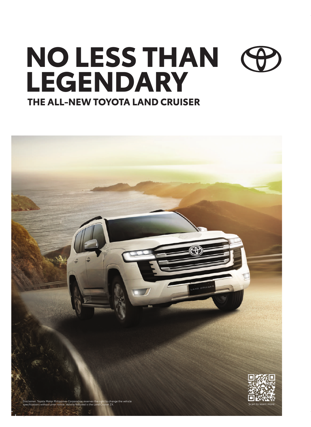## **THE ALL-NEW TOYOTA LAND CRUISER NO LESS THAN LEGENDARY**